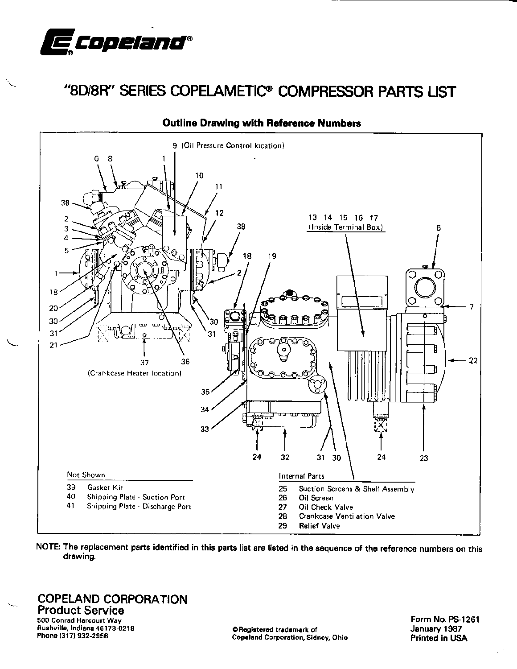

# "8D/8R" SERIES COPELAMETIC® COMPRESSOR PARTS LIST



# **Outline Drawing with Reference Numbers**

NOTE: The replacement parts identified in this parts list are listed in the sequence of the reference numbers on this drawing.

**COPELAND CORPORATION Product Service** 500 Conrad Harcourt Way Rushville, Indiana 46173-0218 Phone (317) 932-2956

C Registered trademark of **Copeland Corporation, Sidney, Ohio**  Form No. PS-1261 January 1987 Printed in USA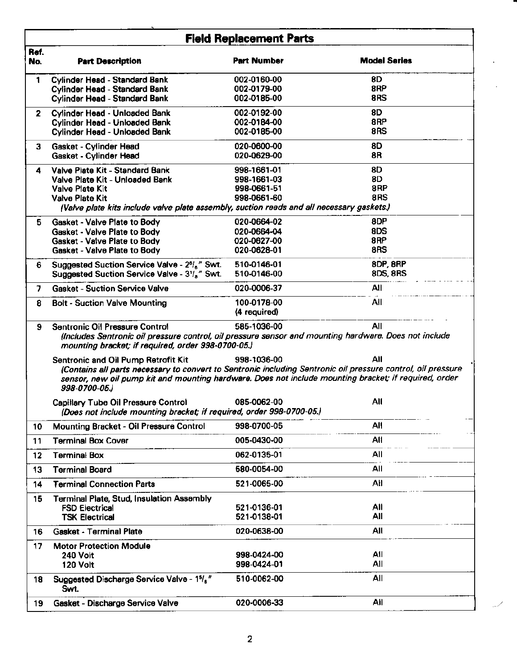|              | <b>Field Replacement Parts</b>                                                                                                                                                                                                         |                             |                     |  |  |  |
|--------------|----------------------------------------------------------------------------------------------------------------------------------------------------------------------------------------------------------------------------------------|-----------------------------|---------------------|--|--|--|
| Ref.<br>No.  | <b>Part Description</b>                                                                                                                                                                                                                | <b>Part Number</b>          | <b>Model Series</b> |  |  |  |
| 1            | Cylinder Head - Standard Bank                                                                                                                                                                                                          | 002-0160-00                 | 8D                  |  |  |  |
|              | <b>Cylinder Head - Standard Bank</b>                                                                                                                                                                                                   | 002-0179-00                 | 8RP                 |  |  |  |
|              | Cylinder Head - Standard Bank                                                                                                                                                                                                          | 002-0185-00                 | 8RS                 |  |  |  |
| $\mathbf{2}$ | <b>Cylinder Head - Unloaded Bank</b>                                                                                                                                                                                                   | 002-0192-00                 | 8D                  |  |  |  |
|              | <b>Cylinder Head - Unloaded Bank</b>                                                                                                                                                                                                   | 002-0184-00                 | 8RP                 |  |  |  |
|              | <b>Cylinder Head - Unloaded Bank</b>                                                                                                                                                                                                   | 002-0185-00                 | 8RS                 |  |  |  |
| з            | Gasket - Cylinder Head                                                                                                                                                                                                                 | 020-0600-00                 | 8D                  |  |  |  |
|              | Gasket - Cylinder Head                                                                                                                                                                                                                 | 020-0629-00                 | 8R                  |  |  |  |
| 4            | Valve Plate Kit - Standard Bank                                                                                                                                                                                                        | 998-1661-01                 | 8D                  |  |  |  |
|              | Valve Plate Kit - Unloaded Bank                                                                                                                                                                                                        | 998-1661-03                 | 8D                  |  |  |  |
|              | Valve Plate Kit                                                                                                                                                                                                                        | 998-0661-51                 | 8RP                 |  |  |  |
|              | <b>Valve Plate Kit</b>                                                                                                                                                                                                                 | 998-0661-60                 | 8RS                 |  |  |  |
|              | (Valve plate kits include valve plate assembly, suction reeds and all necessary gaskets.)                                                                                                                                              |                             |                     |  |  |  |
| 5.           | Gasket - Valve Plate to Body                                                                                                                                                                                                           | 020-0664-02                 | 8DP                 |  |  |  |
|              | Gasket - Valve Plate to Body                                                                                                                                                                                                           | 020-0664-04                 | 8DS                 |  |  |  |
|              | Gasket - Valve Plate to Body                                                                                                                                                                                                           | 020-0627-00                 | 8RP                 |  |  |  |
|              | Gasket - Valve Plate to Body                                                                                                                                                                                                           | 020-0628-01                 | 8RS                 |  |  |  |
| 6.           | Suggested Suction Service Valve - 2 <sup>6</sup> / <sub>s</sub> " Swt.                                                                                                                                                                 | 510-0146-01                 | 8DP, 8RP            |  |  |  |
|              | Suggested Suction Service Valve - 31/ <sub>s</sub> " Swt.                                                                                                                                                                              | 510-0146-00                 | 8DS, 8RS            |  |  |  |
| 7            | <b>Gasket - Suction Service Valve</b>                                                                                                                                                                                                  | 020-0006-37                 | All                 |  |  |  |
| 8            | <b>Bolt - Suction Valve Mounting</b>                                                                                                                                                                                                   | 100-0178-00<br>(4 required) | All                 |  |  |  |
| 9            | All<br>Sentronic Oil Pressure Control<br>585-1036-00<br>(Includes Sentronic oil pressure control, oil pressure sensor and mounting hardware. Does not include<br>mounting bracket; if required, order 998-0700-05.)                    |                             |                     |  |  |  |
|              | Sentronic and Oil Pump Retrofit Kit                                                                                                                                                                                                    | 998-1036-00                 | Αll                 |  |  |  |
|              | (Contains all parts necessary to convert to Sentronic including Sentronic oil pressure control, oil pressure<br>sensor, new oil pump kit and mounting hardware. Does not include mounting bracket; if required, order<br>998-0700-05.) |                             |                     |  |  |  |
|              | Capillary Tube Oil Pressure Control<br>(Does not include mounting bracket; if required, order 998-0700-05.)                                                                                                                            | 085-0062-00                 | Αll                 |  |  |  |
| 10           | Mounting Bracket - Oil Pressure Control                                                                                                                                                                                                | 998-0700-05                 | All                 |  |  |  |
| 11           | <b>Terminal Box Cover</b>                                                                                                                                                                                                              | 005-0430-00                 | All                 |  |  |  |
| 12           | <b>Terminal Box</b>                                                                                                                                                                                                                    | 062-0135-01                 | All                 |  |  |  |
| 13           | <b>Terminal Board</b>                                                                                                                                                                                                                  | 580-0054-00                 | All                 |  |  |  |
| 14           | <b>Terminal Connection Parts</b>                                                                                                                                                                                                       | 521-0065-00                 | All                 |  |  |  |
| 15           | <b>Terminal Plate, Stud, Insulation Assembly</b>                                                                                                                                                                                       |                             |                     |  |  |  |
|              | <b>FSD Electrical</b>                                                                                                                                                                                                                  | 521-0136-01                 | All                 |  |  |  |
|              | <b>TSK Electrical</b>                                                                                                                                                                                                                  | 521-0138-01                 | All                 |  |  |  |
| 16           | <b>Gasket - Terminal Plate</b>                                                                                                                                                                                                         | 020-0638-00                 | All                 |  |  |  |
| 17           | <b>Motor Protection Module</b>                                                                                                                                                                                                         |                             |                     |  |  |  |
|              | <b>240 Volt</b>                                                                                                                                                                                                                        | 998-0424-00                 | All                 |  |  |  |
|              | 120 Volt                                                                                                                                                                                                                               | 998-0424-01                 | All                 |  |  |  |
| 18           | Suggested Discharge Service Valve - 15/2"<br>Swt.                                                                                                                                                                                      | 510-0062-00                 | All                 |  |  |  |
|              | Gasket - Discharge Service Valve                                                                                                                                                                                                       | 020-0006-33                 | All                 |  |  |  |
| 19           |                                                                                                                                                                                                                                        |                             |                     |  |  |  |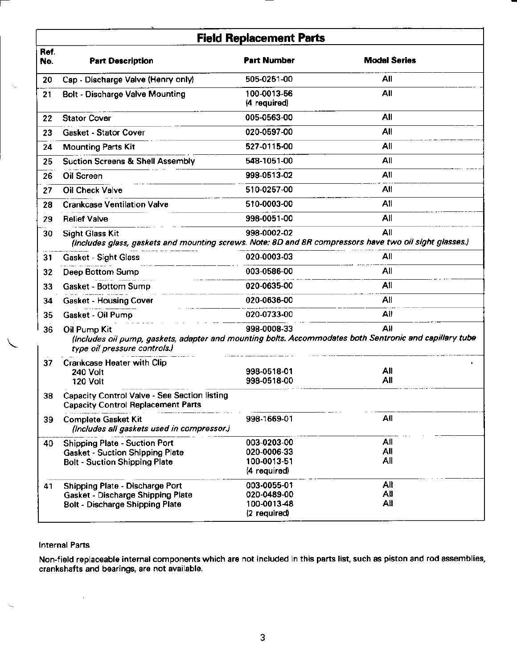|             | <b>Field Replacement Parts</b>                                                                                                                          |                             |                     |  |  |
|-------------|---------------------------------------------------------------------------------------------------------------------------------------------------------|-----------------------------|---------------------|--|--|
| Ref.<br>No. | <b>Part Description</b>                                                                                                                                 | <b>Part Number</b>          | <b>Model Series</b> |  |  |
| 20          | Cap - Discharge Valve (Henry only)                                                                                                                      | 505-0251-00                 | All                 |  |  |
| 21          | <b>Bolt - Discharge Valve Mounting</b>                                                                                                                  | 100-0013-56<br>(4 required) | All                 |  |  |
| 22          | <b>Stator Cover</b>                                                                                                                                     | 005-0563-00                 | All                 |  |  |
| 23          | <b>Gasket - Stator Cover</b>                                                                                                                            | 020-0597-00                 | All                 |  |  |
| 24          | <b>Mounting Parts Kit</b>                                                                                                                               | 527-0115-00                 | All                 |  |  |
| 25          | <b>Suction Screens &amp; Shell Assembly</b>                                                                                                             | 548-1051-00                 | All                 |  |  |
| 26          | Oil Screen                                                                                                                                              | 998-0513-02                 | All                 |  |  |
| 27          | Oil Check Valve                                                                                                                                         | 510-0257-00                 | All                 |  |  |
| 28          | <b>Crankcase Ventilation Valve</b>                                                                                                                      | 510-0003-00                 | All                 |  |  |
| 29          | <b>Relief Valve</b>                                                                                                                                     | 998-0051-00                 | All                 |  |  |
| 30          | <b>Sight Glass Kit</b><br>(Includes glass, gaskets and mounting screws. Note: 8D and 8R compressors have two oil sight glasses.)                        | 998-0002-02                 | All                 |  |  |
| 31          | Gasket - Sight Glass                                                                                                                                    | 020-0003-03                 | All                 |  |  |
| 32          | Deep Bottom Sump                                                                                                                                        | 003-0586-00                 | All                 |  |  |
| 33          | Gasket - Bottom Sump                                                                                                                                    | 020-0635-00                 | All                 |  |  |
| 34          | <b>Gasket - Housing Cover</b>                                                                                                                           | 020-0636-00                 | All                 |  |  |
| 35          | Gasket - Oil Pump                                                                                                                                       | 020-0733-00                 | All                 |  |  |
| 36          | Oil Pump Kit<br>(Includes oil pump, gaskets, adapter and mounting bolts. Accommodates both Sentronic and capillary tube<br>type oil pressure controls.) | 998-0008-33                 | All                 |  |  |
| 37          | <b>Crankcase Heater with Clip</b><br><b>240 Volt</b><br><b>120 Volt</b>                                                                                 | 998-0518-01<br>998-0518-00  | All<br>All          |  |  |
| 38          | Capacity Control Valve - See Section listing<br><b>Capacity Control Replacement Parts</b>                                                               |                             |                     |  |  |
| 39          | <b>Complete Gasket Kit</b><br>(Includes all gaskets used in compressor.)                                                                                | 998-1669-01                 | All                 |  |  |
| 40          | <b>Shipping Plate - Suction Port</b>                                                                                                                    | 003-0203-00                 | All                 |  |  |
|             | <b>Gasket - Suction Shipping Plate</b>                                                                                                                  | 020-0006-33<br>100-0013-51  | All<br>All          |  |  |
|             | <b>Bolt - Suction Shipping Plate</b>                                                                                                                    | (4 required)                |                     |  |  |
| 41          | Shipping Plate - Discharge Port                                                                                                                         | 003-0055-01                 | All                 |  |  |
|             | Gasket - Discharge Shipping Plate                                                                                                                       | 020-0489-00                 | All                 |  |  |
|             | <b>Bolt - Discharge Shipping Plate</b>                                                                                                                  | 100-0013-48<br>(2 required) | All                 |  |  |

# **Internal Parts**

 $\mathbf{Q}_\mathrm{in}$ 

 $\hat{\mathcal{A}}$ 

 $\sim$ 

Non-field replaceable internal components which are not included in this parts list, such as piston and rod assemblies,<br>crankshafts and bearings, are not available.